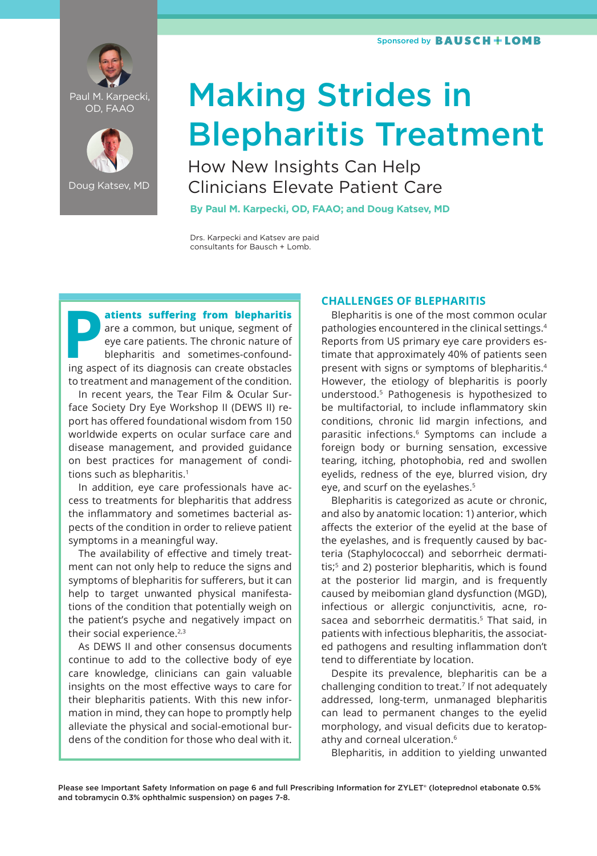



Doug Katsev, MD

# Making Strides in Blepharitis Treatment

How New Insights Can Help Clinicians Elevate Patient Care

**By Paul M. Karpecki, OD, FAAO; and Doug Katsev, MD**

Drs. Karpecki and Katsev are paid consultants for Bausch + Lomb.

**Patients suffering from blepharitis**<br>
are a common, but unique, segment of<br>
eye care patients. The chronic nature of<br>
blepharitis and sometimes-confound-<br>
ing aspect of its diagnosis can create obstacles are a common, but unique, segment of eye care patients. The chronic nature of blepharitis and sometimes-confoundto treatment and management of the condition.

In recent years, the Tear Film & Ocular Surface Society Dry Eye Workshop II (DEWS II) report has offered foundational wisdom from 150 worldwide experts on ocular surface care and disease management, and provided guidance on best practices for management of conditions such as blepharitis.<sup>1</sup>

In addition, eye care professionals have access to treatments for blepharitis that address the inflammatory and sometimes bacterial aspects of the condition in order to relieve patient symptoms in a meaningful way.

The availability of effective and timely treatment can not only help to reduce the signs and symptoms of blepharitis for sufferers, but it can help to target unwanted physical manifestations of the condition that potentially weigh on the patient's psyche and negatively impact on their social experience.<sup>2,3</sup>

As DEWS II and other consensus documents continue to add to the collective body of eye care knowledge, clinicians can gain valuable insights on the most effective ways to care for their blepharitis patients. With this new information in mind, they can hope to promptly help alleviate the physical and social-emotional burdens of the condition for those who deal with it.

### **CHALLENGES OF BLEPHARITIS**

Blepharitis is one of the most common ocular pathologies encountered in the clinical settings.4 Reports from US primary eye care providers estimate that approximately 40% of patients seen present with signs or symptoms of blepharitis.4 However, the etiology of blepharitis is poorly understood.5 Pathogenesis is hypothesized to be multifactorial, to include inflammatory skin conditions, chronic lid margin infections, and parasitic infections.<sup>6</sup> Symptoms can include a foreign body or burning sensation, excessive tearing, itching, photophobia, red and swollen eyelids, redness of the eye, blurred vision, dry eye, and scurf on the eyelashes.<sup>5</sup>

Blepharitis is categorized as acute or chronic, and also by anatomic location: 1) anterior, which affects the exterior of the eyelid at the base of the eyelashes, and is frequently caused by bacteria (Staphylococcal) and seborrheic dermatitis;<sup>5</sup> and 2) posterior blepharitis, which is found at the posterior lid margin, and is frequently caused by meibomian gland dysfunction (MGD), infectious or allergic conjunctivitis, acne, rosacea and seborrheic dermatitis.<sup>5</sup> That said, in patients with infectious blepharitis, the associated pathogens and resulting inflammation don't tend to differentiate by location.

Despite its prevalence, blepharitis can be a challenging condition to treat.7 If not adequately addressed, long-term, unmanaged blepharitis can lead to permanent changes to the eyelid morphology, and visual deficits due to keratopathy and corneal ulceration.<sup>6</sup>

Blepharitis, in addition to yielding unwanted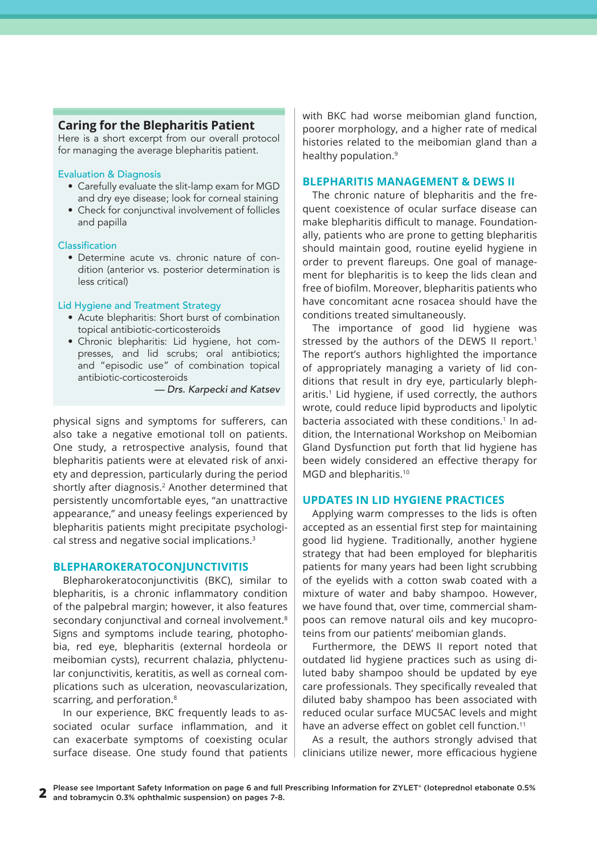### **Caring for the Blepharitis Patient**

Here is a short excerpt from our overall protocol for managing the average blepharitis patient.

### Evaluation & Diagnosis

- Carefully evaluate the slit-lamp exam for MGD and dry eye disease; look for corneal staining
- Check for conjunctival involvement of follicles and papilla

### Classification

• Determine acute vs. chronic nature of condition (anterior vs. posterior determination is less critical)

### Lid Hygiene and Treatment Strategy

- Acute blepharitis: Short burst of combination topical antibiotic-corticosteroids
- Chronic blepharitis: Lid hygiene, hot compresses, and lid scrubs; oral antibiotics; and "episodic use" of combination topical antibiotic-corticosteroids

*— Drs. Karpecki and Katsev*

physical signs and symptoms for sufferers, can also take a negative emotional toll on patients. One study, a retrospective analysis, found that blepharitis patients were at elevated risk of anxiety and depression, particularly during the period shortly after diagnosis.<sup>2</sup> Another determined that persistently uncomfortable eyes, "an unattractive appearance," and uneasy feelings experienced by blepharitis patients might precipitate psychological stress and negative social implications.3

### **BLEPHAROKERATOCONJUNCTIVITIS**

Blepharokeratoconjunctivitis (BKC), similar to blepharitis, is a chronic inflammatory condition of the palpebral margin; however, it also features secondary conjunctival and corneal involvement.<sup>8</sup> Signs and symptoms include tearing, photophobia, red eye, blepharitis (external hordeola or meibomian cysts), recurrent chalazia, phlyctenular conjunctivitis, keratitis, as well as corneal complications such as ulceration, neovascularization, scarring, and perforation.<sup>8</sup>

In our experience, BKC frequently leads to associated ocular surface inflammation, and it can exacerbate symptoms of coexisting ocular surface disease. One study found that patients

with BKC had worse meibomian gland function, poorer morphology, and a higher rate of medical histories related to the meibomian gland than a healthy population.<sup>9</sup>

### **BLEPHARITIS MANAGEMENT & DEWS II**

The chronic nature of blepharitis and the frequent coexistence of ocular surface disease can make blepharitis difficult to manage. Foundationally, patients who are prone to getting blepharitis should maintain good, routine eyelid hygiene in order to prevent flareups. One goal of management for blepharitis is to keep the lids clean and free of biofilm. Moreover, blepharitis patients who have concomitant acne rosacea should have the conditions treated simultaneously.

The importance of good lid hygiene was stressed by the authors of the DEWS II report.<sup>1</sup> The report's authors highlighted the importance of appropriately managing a variety of lid conditions that result in dry eye, particularly blepharitis.<sup>1</sup> Lid hygiene, if used correctly, the authors wrote, could reduce lipid byproducts and lipolytic bacteria associated with these conditions.<sup>1</sup> In addition, the International Workshop on Meibomian Gland Dysfunction put forth that lid hygiene has been widely considered an effective therapy for MGD and blepharitis.10

### **UPDATES IN LID HYGIENE PRACTICES**

Applying warm compresses to the lids is often accepted as an essential first step for maintaining good lid hygiene. Traditionally, another hygiene strategy that had been employed for blepharitis patients for many years had been light scrubbing of the eyelids with a cotton swab coated with a mixture of water and baby shampoo. However, we have found that, over time, commercial shampoos can remove natural oils and key mucoproteins from our patients' meibomian glands.

Furthermore, the DEWS II report noted that outdated lid hygiene practices such as using diluted baby shampoo should be updated by eye care professionals. They specifically revealed that diluted baby shampoo has been associated with reduced ocular surface MUC5AC levels and might have an adverse effect on goblet cell function.<sup>11</sup>

As a result, the authors strongly advised that clinicians utilize newer, more efficacious hygiene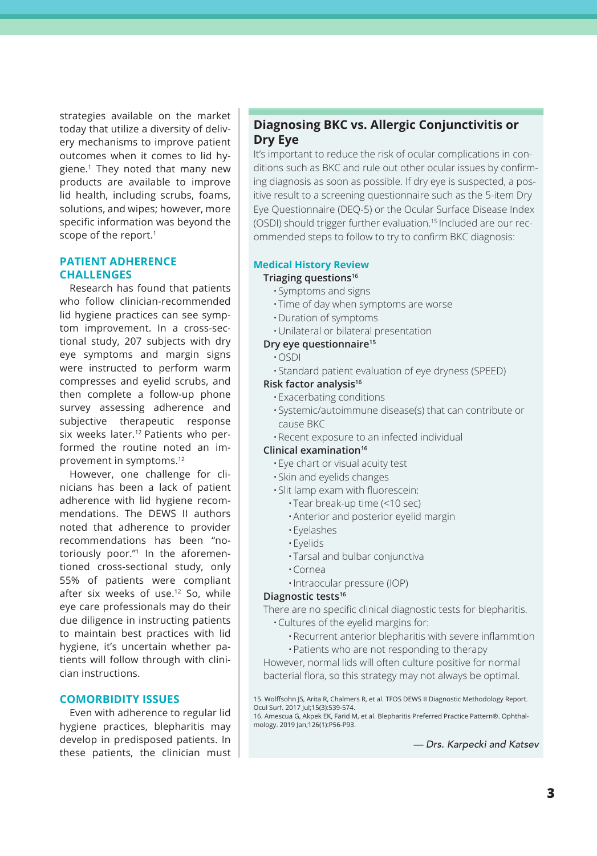strategies available on the market today that utilize a diversity of delivery mechanisms to improve patient outcomes when it comes to lid hygiene.<sup>1</sup> They noted that many new products are available to improve lid health, including scrubs, foams, solutions, and wipes; however, more specific information was beyond the scope of the report.<sup>1</sup>

### **PATIENT ADHERENCE CHALLENGES**

Research has found that patients who follow clinician-recommended lid hygiene practices can see symptom improvement. In a cross-sectional study, 207 subjects with dry eye symptoms and margin signs were instructed to perform warm compresses and eyelid scrubs, and then complete a follow-up phone survey assessing adherence and subjective therapeutic response six weeks later.<sup>12</sup> Patients who performed the routine noted an improvement in symptoms.12

However, one challenge for clinicians has been a lack of patient adherence with lid hygiene recommendations. The DEWS II authors noted that adherence to provider recommendations has been "notoriously poor."1 In the aforementioned cross-sectional study, only 55% of patients were compliant after six weeks of use.<sup>12</sup> So, while eye care professionals may do their due diligence in instructing patients to maintain best practices with lid hygiene, it's uncertain whether patients will follow through with clinician instructions.

### **COMORBIDITY ISSUES**

Even with adherence to regular lid hygiene practices, blepharitis may develop in predisposed patients. In these patients, the clinician must

# **Diagnosing BKC vs. Allergic Conjunctivitis or Dry Eye**

It's important to reduce the risk of ocular complications in conditions such as BKC and rule out other ocular issues by confirming diagnosis as soon as possible. If dry eye is suspected, a positive result to a screening questionnaire such as the 5-item Dry Eye Questionnaire (DEQ-5) or the Ocular Surface Disease Index (OSDI) should trigger further evaluation.15 Included are our recommended steps to follow to try to confirm BKC diagnosis:

### **Medical History Review**

### **Triaging questions16**

- •Symptoms and signs
- •Time of day when symptoms are worse
- •Duration of symptoms
- •Unilateral or bilateral presentation

### **Dry eye questionnaire15**

- •OSDI
- •Standard patient evaluation of eye dryness (SPEED)

### **Risk factor analysis16**

- •Exacerbating conditions
- •Systemic/autoimmune disease(s) that can contribute or cause BKC
- •Recent exposure to an infected individual

### **Clinical examination16**

- •Eye chart or visual acuity test
- •Skin and eyelids changes
- •Slit lamp exam with fluorescein:
	- •Tear break-up time (<10 sec)
	- •Anterior and posterior eyelid margin
	- •Eyelashes
	- •Eyelids
	- •Tarsal and bulbar conjunctiva
	- •Cornea
	- •Intraocular pressure (IOP)

### **Diagnostic tests16**

There are no specific clinical diagnostic tests for blepharitis.

- •Cultures of the eyelid margins for:
	- •Recurrent anterior blepharitis with severe inflammtion
	- •Patients who are not responding to therapy

However, normal lids will often culture positive for normal bacterial flora, so this strategy may not always be optimal.

15. Wolffsohn JS, Arita R, Chalmers R, et al. TFOS DEWS II Diagnostic Methodology Report. Ocul Surf. 2017 Jul;15(3):539-574.

16. Amescua G, Akpek EK, Farid M, et al. Blepharitis Preferred Practice Pattern®. Ophthalmology. 2019 Jan;126(1):P56-P93.

*— Drs. Karpecki and Katsev*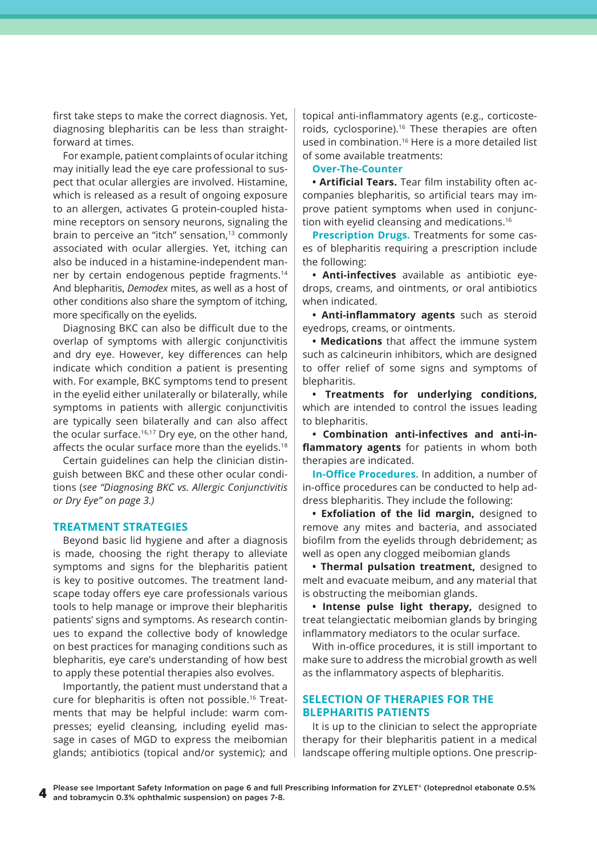first take steps to make the correct diagnosis. Yet, diagnosing blepharitis can be less than straightforward at times.

For example, patient complaints of ocular itching may initially lead the eye care professional to suspect that ocular allergies are involved. Histamine, which is released as a result of ongoing exposure to an allergen, activates G protein-coupled histamine receptors on sensory neurons, signaling the brain to perceive an "itch" sensation,<sup>13</sup> commonly associated with ocular allergies. Yet, itching can also be induced in a histamine-independent manner by certain endogenous peptide fragments.14 And blepharitis, *Demodex* mites, as well as a host of other conditions also share the symptom of itching, more specifically on the eyelids.

Diagnosing BKC can also be difficult due to the overlap of symptoms with allergic conjunctivitis and dry eye. However, key differences can help indicate which condition a patient is presenting with. For example, BKC symptoms tend to present in the eyelid either unilaterally or bilaterally, while symptoms in patients with allergic conjunctivitis are typically seen bilaterally and can also affect the ocular surface.<sup>16,17</sup> Dry eye, on the other hand, affects the ocular surface more than the eyelids.<sup>18</sup>

Certain guidelines can help the clinician distinguish between BKC and these other ocular conditions (*see "Diagnosing BKC vs. Allergic Conjunctivitis or Dry Eye" on page 3.)*

### **TREATMENT STRATEGIES**

Beyond basic lid hygiene and after a diagnosis is made, choosing the right therapy to alleviate symptoms and signs for the blepharitis patient is key to positive outcomes. The treatment landscape today offers eye care professionals various tools to help manage or improve their blepharitis patients' signs and symptoms. As research continues to expand the collective body of knowledge on best practices for managing conditions such as blepharitis, eye care's understanding of how best to apply these potential therapies also evolves.

Importantly, the patient must understand that a cure for blepharitis is often not possible.<sup>16</sup> Treatments that may be helpful include: warm compresses; eyelid cleansing, including eyelid massage in cases of MGD to express the meibomian glands; antibiotics (topical and/or systemic); and topical anti-inflammatory agents (e.g., corticosteroids, cyclosporine).<sup>16</sup> These therapies are often used in combination.<sup>16</sup> Here is a more detailed list of some available treatments:

### **Over-The-Counter**

**• Artificial Tears.** Tear film instability often accompanies blepharitis, so artificial tears may improve patient symptoms when used in conjunction with eyelid cleansing and medications.16

**Prescription Drugs.** Treatments for some cases of blepharitis requiring a prescription include the following:

**• Anti-infectives** available as antibiotic eyedrops, creams, and ointments, or oral antibiotics when indicated.

**• Anti-inflammatory agents** such as steroid eyedrops, creams, or ointments.

**• Medications** that affect the immune system such as calcineurin inhibitors, which are designed to offer relief of some signs and symptoms of blepharitis.

**• Treatments for underlying conditions,** which are intended to control the issues leading to blepharitis.

*•* **Combination anti-infectives and anti-inflammatory agents** for patients in whom both therapies are indicated.

**In-Office Procedures.** In addition, a number of in-office procedures can be conducted to help address blepharitis. They include the following:

**• Exfoliation of the lid margin,** designed to remove any mites and bacteria, and associated biofilm from the eyelids through debridement; as well as open any clogged meibomian glands

**• Thermal pulsation treatment,** designed to melt and evacuate meibum, and any material that is obstructing the meibomian glands.

**• Intense pulse light therapy,** designed to treat telangiectatic meibomian glands by bringing inflammatory mediators to the ocular surface.

With in-office procedures, it is still important to make sure to address the microbial growth as well as the inflammatory aspects of blepharitis.

### **SELECTION OF THERAPIES FOR THE BLEPHARITIS PATIENTS**

It is up to the clinician to select the appropriate therapy for their blepharitis patient in a medical landscape offering multiple options. One prescrip-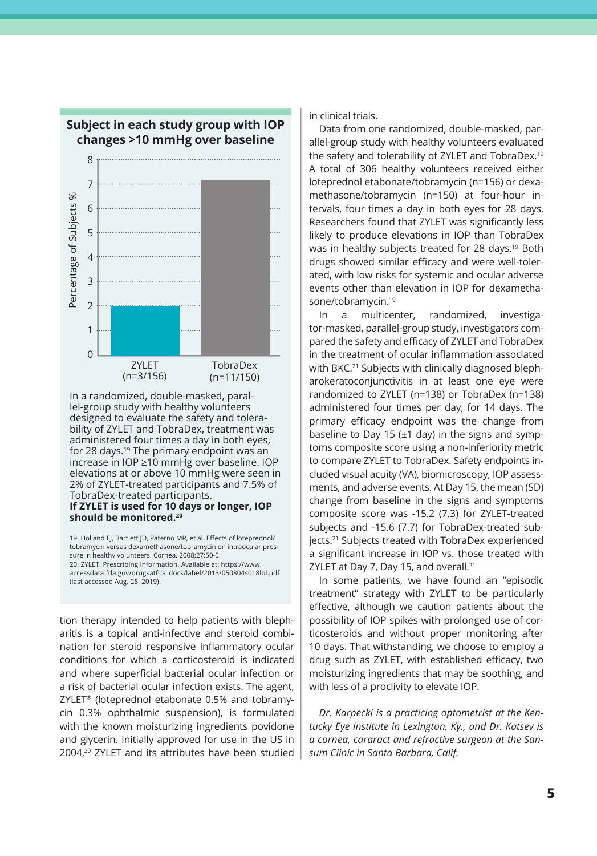

### **Subject in each study group with IOP changes >10 mmHg over baseline**

In a randomized, double-masked, parallel-group study with healthy volunteers designed to evaluate the safety and tolerability of ZYLET and TobraDex, treatment was administered four times a day in both eyes, for 28 days.<sup>19</sup> The primary endpoint was an increase in IOP ≥10 mmHg over baseline. IOP elevations at or above 10 mmHg were seen in 2% of ZYLET-treated participants and 7.5% of TobraDex-treated participants. **If ZYLET is used for 10 days or longer, IOP should be monitored.<sup>20</sup>**

19. Holland EJ, Bartlett JD, Paterno MR, et al. Effects of loteprednol/ tobramycin versus dexamethasone/tobramycin on intraocular pressure in healthy volunteers. Cornea. 2008;27:50-5. 20. ZYLET. Prescribing Information. Available at: https://www. accessdata.fda.gov/drugsatfda\_docs/label/2013/050804s018lbl.pdf (last accessed Aug. 28, 2019).

tion therapy intended to help patients with blepharitis is a topical anti-infective and steroid combination for steroid responsive inflammatory ocular conditions for which a corticosteroid is indicated and where superficial bacterial ocular infection or a risk of bacterial ocular infection exists. The agent, ZYLET® (loteprednol etabonate 0.5% and tobramycin 0.3% ophthalmic suspension), is formulated with the known moisturizing ingredients povidone and glycerin. Initially approved for use in the US in 2004,20 ZYLET and its attributes have been studied in clinical trials.

Data from one randomized, double-masked, parallel-group study with healthy volunteers evaluated the safety and tolerability of ZYLET and TobraDex.19 A total of 306 healthy volunteers received either loteprednol etabonate/tobramycin (n=156) or dexamethasone/tobramycin (n=150) at four-hour intervals, four times a day in both eyes for 28 days. Researchers found that ZYLET was significantly less likely to produce elevations in IOP than TobraDex was in healthy subjects treated for 28 days.<sup>19</sup> Both drugs showed similar efficacy and were well-tolerated, with low risks for systemic and ocular adverse events other than elevation in IOP for dexamethasone/tobramycin.19

In a multicenter, randomized, investigator-masked, parallel-group study, investigators compared the safety and efficacy of ZYLET and TobraDex in the treatment of ocular inflammation associated with BKC.<sup>21</sup> Subjects with clinically diagnosed blepharokeratoconjunctivitis in at least one eye were randomized to ZYLET (n=138) or TobraDex (n=138) administered four times per day, for 14 days. The primary efficacy endpoint was the change from baseline to Day 15 ( $\pm$ 1 day) in the signs and symptoms composite score using a non-inferiority metric to compare ZYLET to TobraDex. Safety endpoints included visual acuity (VA), biomicroscopy, IOP assessments, and adverse events. At Day 15, the mean (SD) change from baseline in the signs and symptoms composite score was -15.2 (7.3) for ZYLET-treated subjects and -15.6 (7.7) for TobraDex-treated subjects.21 Subjects treated with TobraDex experienced a significant increase in IOP vs. those treated with ZYLET at Day 7, Day 15, and overall.<sup>21</sup>

In some patients, we have found an "episodic treatment" strategy with ZYLET to be particularly effective, although we caution patients about the possibility of IOP spikes with prolonged use of corticosteroids and without proper monitoring after 10 days. That withstanding, we choose to employ a drug such as ZYLET, with established efficacy, two moisturizing ingredients that may be soothing, and with less of a proclivity to elevate IOP.

*Dr. Karpecki is a practicing optometrist at the Kentucky Eye Institute in Lexington, Ky., and Dr. Katsev is a cornea, cararact and refractive surgeon at the Sansum Clinic in Santa Barbara, Calif.*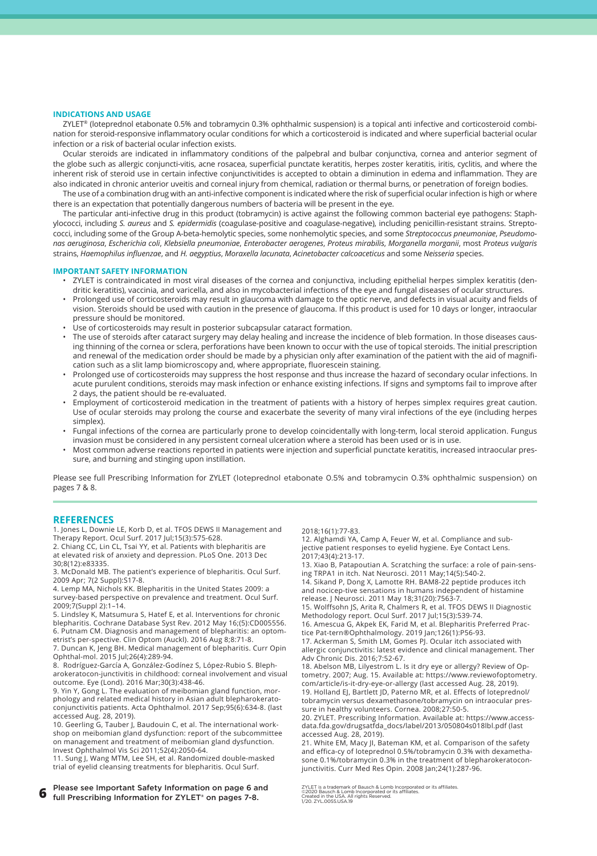#### **INDICATIONS AND USAGE**

ZYLET® (loteprednol etabonate 0.5% and tobramycin 0.3% ophthalmic suspension) is a topical anti infective and corticosteroid combination for steroid-responsive inflammatory ocular conditions for which a corticosteroid is indicated and where superficial bacterial ocular infection or a risk of bacterial ocular infection exists.

Ocular steroids are indicated in inflammatory conditions of the palpebral and bulbar conjunctiva, cornea and anterior segment of the globe such as allergic conjuncti-vitis, acne rosacea, superficial punctate keratitis, herpes zoster keratitis, iritis, cyclitis, and where the inherent risk of steroid use in certain infective conjunctivitides is accepted to obtain a diminution in edema and inflammation. They are also indicated in chronic anterior uveitis and corneal injury from chemical, radiation or thermal burns, or penetration of foreign bodies.

The use of a combination drug with an anti-infective component is indicated where the risk of superficial ocular infection is high or where there is an expectation that potentially dangerous numbers of bacteria will be present in the eye.

The particular anti-infective drug in this product (tobramycin) is active against the following common bacterial eye pathogens: Staphylococci, including *S. aureus* and *S. epidermidis* (coagulase-positive and coagulase-negative), including penicillin-resistant strains. Streptococci, including some of the Group A-beta-hemolytic species, some nonhemolytic species, and some *Streptococcus pneumoniae*, *Pseudomonas aeruginosa*, *Escherichia coli*, *Klebsiella pneumoniae*, *Enterobacter aerogenes*, *Proteus mirabilis*, *Morganella morganii*, most *Proteus vulgaris* strains, *Haemophilus influenzae*, and *H. aegyptius*, *Moraxella lacunata*, *Acinetobacter calcoaceticus* and some *Neisseria* species.

#### **IMPORTANT SAFETY INFORMATION**

- ZYLET is contraindicated in most viral diseases of the cornea and conjunctiva, including epithelial herpes simplex keratitis (dendritic keratitis), vaccinia, and varicella, and also in mycobacterial infections of the eye and fungal diseases of ocular structures.
- Prolonged use of corticosteroids may result in glaucoma with damage to the optic nerve, and defects in visual acuity and fields of vision. Steroids should be used with caution in the presence of glaucoma. If this product is used for 10 days or longer, intraocular pressure should be monitored.
- Use of corticosteroids may result in posterior subcapsular cataract formation.
- The use of steroids after cataract surgery may delay healing and increase the incidence of bleb formation. In those diseases causing thinning of the cornea or sclera, perforations have been known to occur with the use of topical steroids. The initial prescription and renewal of the medication order should be made by a physician only after examination of the patient with the aid of magnification such as a slit lamp biomicroscopy and, where appropriate, fluorescein staining.
- Prolonged use of corticosteroids may suppress the host response and thus increase the hazard of secondary ocular infections. In acute purulent conditions, steroids may mask infection or enhance existing infections. If signs and symptoms fail to improve after 2 days, the patient should be re-evaluated.
- Employment of corticosteroid medication in the treatment of patients with a history of herpes simplex requires great caution. Use of ocular steroids may prolong the course and exacerbate the severity of many viral infections of the eye (including herpes simplex).
- Fungal infections of the cornea are particularly prone to develop coincidentally with long-term, local steroid application. Fungus invasion must be considered in any persistent corneal ulceration where a steroid has been used or is in use.
- Most common adverse reactions reported in patients were injection and superficial punctate keratitis, increased intraocular pressure, and burning and stinging upon instillation.

Please see full Prescribing Information for ZYLET (loteprednol etabonate 0.5% and tobramycin 0.3% ophthalmic suspension) on pages 7 & 8.

#### **REFERENCES**

1. Jones L, Downie LE, Korb D, et al. TFOS DEWS II Management and Therapy Report. Ocul Surf. 2017 Jul;15(3):575-628.

2. Chiang CC, Lin CL, Tsai YY, et al. Patients with blepharitis are at elevated risk of anxiety and depression. PLoS One. 2013 Dec 30;8(12):e83335.

3. McDonald MB. The patient's experience of blepharitis. Ocul Surf. 2009 Apr; 7(2 Suppl):S17-8.

4. Lemp MA, Nichols KK. Blepharitis in the United States 2009: a survey-based perspective on prevalence and treatment. Ocul Surf. 2009;7(Suppl 2):1–14.

5. Lindsley K, Matsumura S, Hatef E, et al. Interventions for chronic blepharitis. Cochrane Database Syst Rev. 2012 May 16;(5):CD005556. 6. Putnam CM. Diagnosis and management of blepharitis: an optometrist's per-spective. Clin Optom (Auckl). 2016 Aug 8;8:71-8.

7. Duncan K, Jeng BH. Medical management of blepharitis. Curr Opin Ophthal-mol. 2015 Jul;26(4):289-94.

8. Rodríguez-García A, González-Godínez S, López-Rubio S. Blepharokeratocon-junctivitis in childhood: corneal involvement and visual outcome. Eye (Lond). 2016 Mar;30(3):438-46.

9. Yin Y, Gong L. The evaluation of meibomian gland function, morphology and related medical history in Asian adult blepharokeratoconjunctivitis patients. Acta Ophthalmol. 2017 Sep;95(6):634-8. (last accessed Aug. 28, 2019).

10. Geerling G, Tauber J, Baudouin C, et al. The international workshop on meibomian gland dysfunction: report of the subcommittee on management and treatment of meibomian gland dysfunction. Invest Ophthalmol Vis Sci 2011;52(4):2050-64.

11. Sung J, Wang MTM, Lee SH, et al. Randomized double-masked trial of eyelid cleansing treatments for blepharitis. Ocul Surf.

**6** Please see Important Safety Information on page 6 and full Prescribing Information for ZYLET® on pages 7-8.

2018;16(1):77-83.

12. Alghamdi YA, Camp A, Feuer W, et al. Compliance and subjective patient responses to eyelid hygiene. Eye Contact Lens. 2017;43(4):213-17.

13. Xiao B, Patapoutian A. Scratching the surface: a role of pain-sensing TRPA1 in itch. Nat Neurosci. 2011 May;14(5):540-2.

14. Sikand P, Dong X, Lamotte RH. BAM8-22 peptide produces itch and nocicep-tive sensations in humans independent of histamine release. J Neurosci. 2011 May 18;31(20):7563-7.

15. Wolffsohn JS, Arita R, Chalmers R, et al. TFOS DEWS II Diagnostic Methodology report. Ocul Surf. 2017 Jul;15(3):539-74.

16. Amescua G, Akpek EK, Farid M, et al. Blepharitis Preferred Practice Pat-tern®Ophthalmology. 2019 Jan;126(1):P56-93.

17. Ackerman S, Smith LM, Gomes PJ. Ocular itch associated with allergic conjunctivitis: latest evidence and clinical management. Ther Adv Chronic Dis. 2016;7:52-67.

18. Abelson MB, Lilyestrom L. Is it dry eye or allergy? Review of Optometry. 2007; Aug. 15. Available at: https://www.reviewofoptometry. com/article/is-it-dry-eye-or-allergy (last accessed Aug. 28, 2019). 19. Holland EJ, Bartlett JD, Paterno MR, et al. Effects of loteprednol/ tobramycin versus dexamethasone/tobramycin on intraocular pres-

sure in healthy volunteers. Cornea. 2008;27:50-5. 20. ZYLET. Prescribing Information. Available at: https://www.accessdata.fda.gov/drugsatfda\_docs/label/2013/050804s018lbl.pdf (last accessed Aug. 28, 2019).

21. White EM, Macy JI, Bateman KM, et al. Comparison of the safety and effica-cy of loteprednol 0.5%/tobramycin 0.3% with dexamethasone 0.1%/tobramycin 0.3% in the treatment of blepharokeratoconjunctivitis. Curr Med Res Opin. 2008 Jan;24(1):287-96.

ZYLET is a trademark of Bausch & Lomb Incorporated or its affiliates. ©2020 Bausch & Lomb Incorporated or its affiliates. Created in the USA. All rights Reserved. 1/20. ZYL.0055.USA.19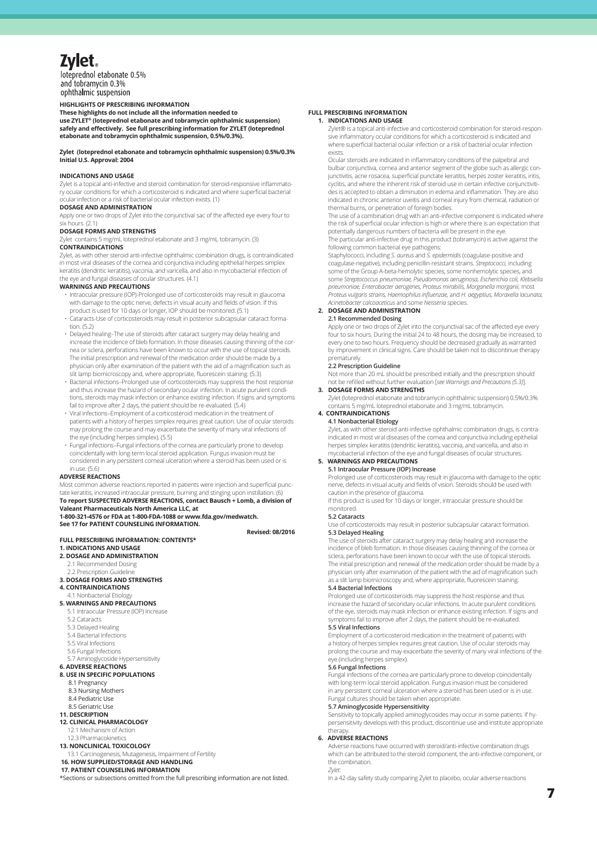# **Zylet**

loteprednol etabonate 0.5% and tobramycin 0.3% ophthalmic suspension

#### **HIGHLIGHTS OF PRESCRIBING INFORMATION HIGHLIGHTS OF PRESCRIBING INFORMATION**

**These highlights do not include all the information needed to use ZYLET® (loteprednol etabonate and tobramycin ophthalmic suspension) These highlights do not include all the information needed to use ZYLET® (loteprednol etabonate and tobramycin ophthalmic**  cataract formation. (5.2) safely and effectively. See full prescribing information for ZYLET (loteprednol etabonate and tobramycin ophthalmic suspension, 0.5%/0.3%). **suspension, 0.5%/0.3%).** 

#### **Zylet (loteprednol etabonate and tobramycin ophthalmic suspension) 0.5%/0.3%** exists. **Initial U.S. Approval: 2004 suspension) 0.5%/0.3%**

## **INDICATIONS AND USAGE**

**INDICATIONS AND USAGE**<br>Zylet is a topical anti-infective and steroid combination for steroid-responsive inflammato-Zylet is a topical anti-infective and steroid combination for steroid-responsive inflammato-<br>ry ocular conditions for which a corticosteroid is indicated and where superficial bacterial ocular infection or a risk of bacterial ocular infection exists. (1)

#### **DOSAGE AND ADMINISTRATION**

Apply one or two drops of Zylet into the conjunctival sac of the affected eye every four to six hours. (2.1) six hours. (2.1)<br>**DOSAGE FORMS AND STRENGTHS** 

Zylet contains 5 mg/mL loteprednol etabonate and 3 mg/mL tobramycin. (3)

#### $\sum_{i=1}^n$

Zylet, as with other steroid anti-infective ophthalmic combination drugs, is contraindicated in most viral diseases of the cornea and conjunctiva including epithelial herpes simplex keratitis (dendritic keratitis), vaccinia, and varicella, and also in mycobacterial infection of the eye and fungal diseases of ocular structures. (4.1)

#### WARNINGS AND PRECAUTIONS

- Intraocular pressure (IOP)-Prolonged use of corticosteroids may result in glaucoma with damage to the optic nerve, defects in visual acuity and fields of vision. If this product is used for 10 days or longer, IOP should be monitored. (5.1)
- · Cataracts-Use of corticosteroids may result in posterior subcapsular cataract forma-<br>tion (5.2) tion. (5.2)
- edditives.<br>• Delayed healing–The use of steroids after cataract surgery may delay healing and increase the incidence of bleb formation. In those diseases causing thinning of the cornea or sclera, perforations have been known to occur with the use of topical steroids. The initial prescription and renewal of the medication order should be made by a physician only after examination of the patient with the aid of a magnification such as slit lamp biomicroscopy and, where appropriate, fluorescein staining. (5.3)
- **8** Bacterial infections-Prolonged use of corticosteroids may suppress the host response and b and thus increase the hazard of secondary ocular infection. In acute purulent conditions, steroids may mask infection or enhance existing infection. If signs and symptoms fail to improve after 2 days, the patient should be re-evaluated. (5.4)
- Viral infections-Employment of a corticosteroid medication in the treatment of patients with a history of herpes simplex requires great caution. Use of ocular steroids **44 a**<br>1**7** Prolong the course and may exacerbate the severity of many viral infections of may prolong the course and may exacerbate the severity of many viral infections of the eye (including herpes simplex). (5.5) 12.1 Mechanism of Action
- $\cdot$  Fungal infections-Fungal infections of the cornea are particularly prone to develop coincidentally with long-term local steroid application. Fungus invasion must be 5.3 Delayed Healing **13 NONCLINICAL TOXICOLOGY** considered in any persistent corneal ulceration where a steroid has been used or is in use.  $(5.6)$

#### **ADVERSE REACTIONS** 5.6 Fungal Infections

Most common adverse reactions reported in patients were injection and superficial punctate keratitis, increased intraocular pressure, burning and stinging upon instillation. (6)<br>**To report SUSPECTED ADVERSE REACTIONS, contact Bausch + Lomb, a division of Valeant Pharmaceuticals North America LLC, at** 

1-800-321-4576 or FDA at 1-800-FDA-1088 or www.fda.gov/medwatch.

### **See 17 for PATIENT COUNSELING INFORMATION. Combination for steries and conditions of conditions for steries for the steroids may result and responsive inflammatory of the step of conditions for which and responsive infl**

### **FULL PRESCRIBING INFORMATION: CONTENTS\***  corticosteroid is indicated and where superficial bacterial ocular infection or a risk of bacterial ocular infection exists. **1. INDICATIONS AND USAGE**

#### **2. DOSAGE AND ADMINISTRATION**

- 2.1 Recommended Dosing and corneal interior uversuch and corneal interior uversuch and corneal interior or the initial prescription or the initial prescription of foreign bodies.
- 2.2 Prescription Guideline

#### **3. DOSAGE FORMS AND STRENGTHS**

### **4. CONTRAINDICATIONS**

- 4.1 Nonbacterial Etiology **5. WARNINGS AND PRECAUTIONS**
- 5.1 Intraocular Pressure (IOP) Increase
- 5.2 Cataracts
- **5.3 Delayed Healing** 
	- 5.4 Bacterial Infections **2.1 Recommended Dosing**
	- 5.5 Viral Infections
	- 5.6 Fungal Infections
- 5.5 Fangar micedon.<br>5.7 Aminoglycoside Hypersensitivity **6. ADVERSE REACTIONS**

#### **8. USE IN SPECIFIC POPULATIONS**

- sse ne si een ren ol<br>8.1 Pregnancy
- 8.3 Nursing Mothers
	- 8.4 Pediatric Use
- **4.11 Contrains Contrains 1.4**<br>**44. DESCRIPTION**

# 8.5 Geriatric Use **11. DESCRIPTION**

**12. CLINICAL PHARMACOLOGY**

### 12.1 meetings of *reason*<br>12.3 Pharmacokinetics

### **13. NONCLINICAL TOXICOLOGY**

13.1 Carcinogenesis, Mutagenesis, Impairment of Fertility **5.1 Intraocular Pressure (IOP) Increase**

### **17. PATIENT COUNSELING INFORMATION**

**If the sections or subsections omitted from the full prescribing information are not listed.**<br>\*Sections or subsections omitted from the full prescribing information are not listed.

#### **FULL PRESCRIBING INFORMATION**

#### spension) **1. INDICATIONS AND USAGE** teprednol **Example 3** Zylet® is a topical anti-infective and corticosteroid combination for steroid-responsive inflammatory ocular conditions for which a corticosteroid is indicated and

where superficial bacterial ocular infection or a risk of bacterial ocular infection exists. oular steroids are indicated in inflammatory conditions of the palpebral and Ocular steroids are indicated in inflammatory conditions of the palpebral and

ocalar secroles are indicated in inharmificaty conditions of the palpesitations<br>bulbar conjunctiva, cornea and anterior segment of the globe such as allergic conpunda conjunctiva, corriea anu antenor segment or the giobe such as allergic corr<br>junctivitis, acne rosacea, superficial punctate keratitis, herpes zoster keratitis, iritis, cyclitis, and where the inherent risk of steroid use in certain infective conjunctiviti-des is accepted to obtain a diminution in edema and inflammation. They are also indicated in chronic anterior uveitis and corneal injury from chemical, radiation or indicated in chronic anterior uveitis and corneal injury from chemical, radiation or thermal burns, or penetration of foreign bodies. • Bacterial infections–Prolonged use of corticosteroids may suppress the host response and thus increase the hazard of secondary ocular

e every four to **the case of a combination drug with an anti-infective component is indicated where** the risk of superficial ocular infection is high or where there is an expectation that potentially dangerous numbers of bacteria will be present in the eye. ) The particular anti-infective drug in this product (tobramycin) is active against the following common bacterial eye pathogens:

contraindicated **Example Staphylococci, including S. aureus and S. epidermidis (coagulase-positive and infection** es simplex **coagulase-negative**), including penicillin-resistant strains. Streptococci, including infection of some of the Group A-beta-hemolytic species, some nonhemolytic species, and some Streptococcus pneumoniae, Pseudomonas aeruginosa, Escherichia coli, Klebsiella pneumoniae, Enterobacter aerogenes, Proteus mirabilis, Morganella morganii, most<br>Proteus vulgaris strains, Haemophilus influenzae, and H. aegyptius, Moraxella lacunata, ion. If this **and actinetial** *Acinetobacter calcoaceticus* and some *Neisseria* species. pneumoniae, Enterobacter aerogenes, Prote<br>Proteus vulgaris strains. Haemophilus influe

### **2. DOSAGE AND ADMINISTRATION**

#### **The report SUSPECTED SUSPECTED ADVERSE REACTIONS**

Apply one or two drops of Zylet into the conjunctival sac of the affected eye every four to six hours. During the initial 24 to 48 hours, the dosing may be increased, to From the two hours. But the time are the to the today, the dost t<sub>o</sub> the distribution of the counts of the counts of the counts of the counts of the counts of the counts of the counts of the counts of the counts of the cou by improvement in clinical signs. Care should be taken not to discontinue therapy ematurely a division of Valeant Pharmaceuticals Apply one or two drops of Zylet into the contract Pharmaceutical America Legislation of the contract Pharmaceutical America Legislation of the contract Pharmaceutical American Contract

#### **2.2 Prescription Guideline**

Not more than 20 mL should be prescribed initially and the prescription should not be refilled without further evaluation [*see Warnings and Precautions (5.3)*].

**3. DOSAGE FORMS AND STRENGTHS** Zylet (loteprednol etabonate and tobramycin ophthalmic suspension) 0.5%/0.3%

contains 5 mg/mL loteprednol etabonate and 3 mg/mL tobramycin. **4. CONTRAINDICATIONS**

#### **4.1 Nonbacterial Etiology**

Zylet, as with other steroid anti-infective ophthalmic combination drugs, is contra-indicated in most viral diseases of the cornea and conjunctiva including epithelial herpes simplex keratitis (dendritic keratitis), vaccinia, and varicella, and also in mycobacterial infection of the eye and fungal diseases of ocular structures.

#### **13ed or is 5. WARNINGS AND PRECAUTIONS 5.1 Intraocular Pressure (IOP) Increase**

Prolonged use of corticosteroids may result in glaucoma with damage to the optic superficial punc-<br>
subsection of the facts in visual acuity and fields of vision. Steroids should be used with caution in the presence of glaucoma.

If this product is used for 10 days or longer, intraocular pressure should be monitored.

#### **5.2 Cataracts**

**Revised: 08/2016**

Use of corticosteroids may result in posterior subcapsular cataract formation.

Revised: 08/2016 5.3 Delayed Healing<br>The use of steroids after cataract surgery may delay healing and increase the The USE of steroids after cataract surgery may delay healing and increase the DICATIONS AND USAGE **State of the Community Contract Contract** incidence of bleb formation. In those diseases causing thinning of the cornea or **SSAGE AND ADMINISTRATION CONFIDENT ACCORDING THE USE IN CERTA** SCIETA, perforations have been known to occur with the use of topical steroids. The initial prescription and renewal of the medication order should be made by a Prescription Guideline (and finally such a series of the patient with the aid of magnification such and the patient with the aid of magnification such a series of the patient with the aid of magnification such a series and **The particular anti-infections** of the particular anti-infections of the following common bacterial executive against the following common backerial executive against the following common backerial executive against the f

I Nonbacterial Etiology **Staphylococcci, including S. aureus and S. epidermidis (coagular strains)**, including Prolonged use of corticosteroids may suppress the host response and thus including penicipal and thus including increase the hazard of secondary ocular infections. In acute purulent conditions (Interaction S. In acute purulent conditions)<br>Intraocular Pressure (IOP) Increase and the second of the eye, steroids may mask infection or e symptoms fail to improve after 2 days, the patient should be re-evaluated.<br>Proteins, Haemophilus influenzae, and H. aegyptius, Moraxella lacunated. **5.5 Viral Infections**

Employment of a corticosteroid medication in the treatment of patients with a history of herpes simplex requires great caution. Use of ocular steroids may a history of the age of the conjunction of the conjunction of the affected eye even to six hours, the initial 24 to 48 mount to 48 kolor and th prolong the course and may exacerbate the severity of many viral infections of the severity of many viral infections of the severity of many viral infections of the eye (including herpes simplex).

#### **5.6 Fungal Infections**

Fungal infections of the cornea are particularly prone to develop coincidentally<br>
Not more than 20 metally prone to develop coincidentally with long-term local steroid application. Fungus invasion must be considered in any persistent corneal ulceration where a steroid has been used or is in use. Fungal cultures should be taken when appropriate.<br>The diatric Use etabonate and top the state and top-and top-and top-and top-and top-and top-and top-and suspension

#### **5.7 Aminoglycoside Hypersensitivity**

12.1 Mechanism of Action<br>12.1 Mechanism of Action Sensitivity to topically applied aminoglycosides may occur in some patients. If hy-**LINICAL PHARMACOLOGY Examples and institute appropriate** and institute appropriate ophthalmic combination drugs of the combination drugs of the combination drugs, is continue use and institute appropriate therapy.

#### **6. ADVERSE REACTIONS**

**16. HOW SUPPLIED/STORAGE AND HANDLING Property of corresponding the combination**. Adverse reactions have occurred with steroid/anti-infective combination drugs which can be attributed to the steroid component, the anti-infective component, or the combination. *Zylet:*

In a 42-day safety study comparing Zylet to placebo, ocular adverse reactions